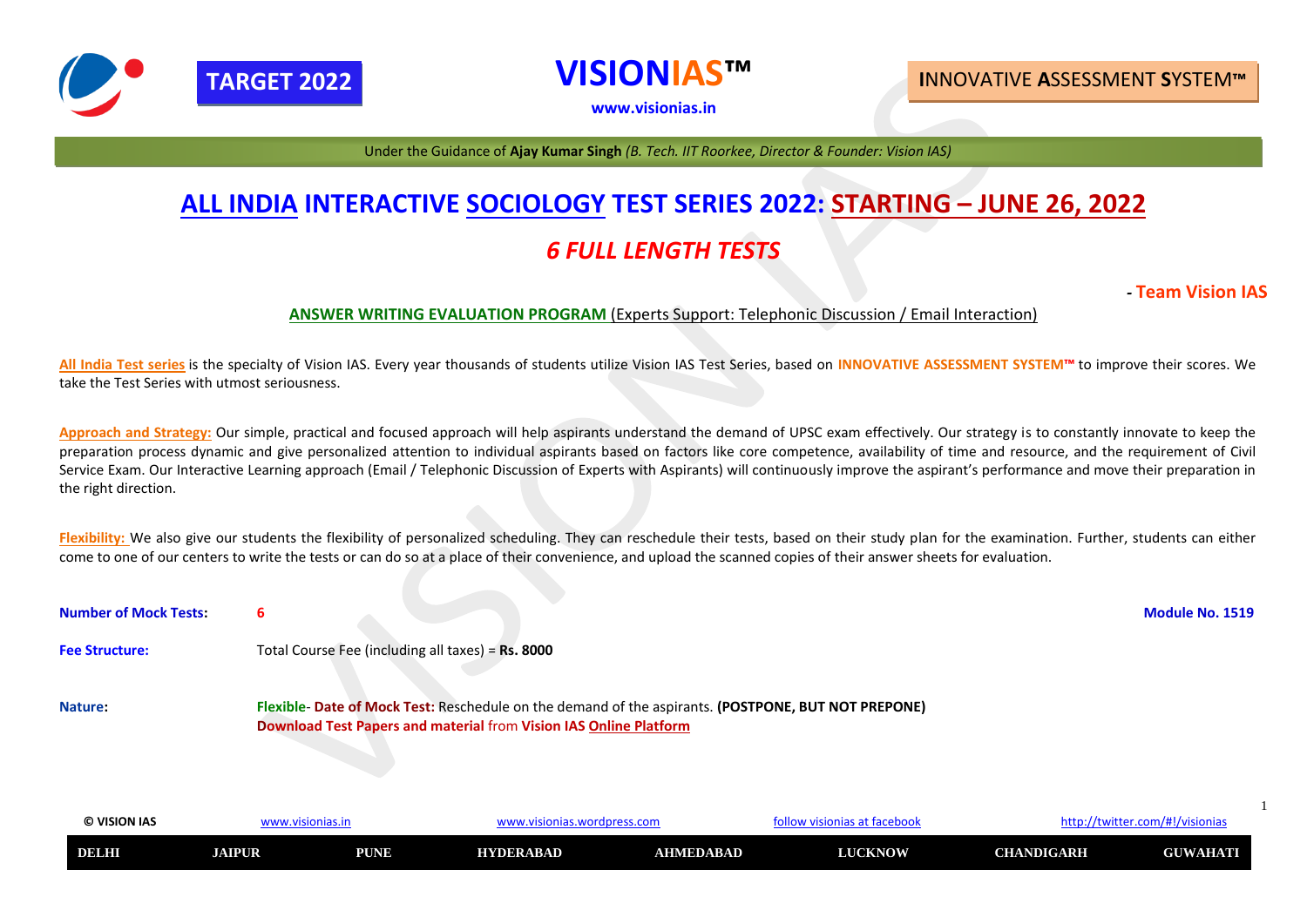| <b>O VISION IAS</b> | 7V . V        |                       | lpress.com<br><b><i>ILAI</i></b> |           | $\sim$ of tacohook | HLLD./<br>. LVVIL' | itter.com/#!/visionias |  |
|---------------------|---------------|-----------------------|----------------------------------|-----------|--------------------|--------------------|------------------------|--|
| <b>DELHI</b>        | <b>JAIPUR</b> | <b>DI INIR</b><br>VИ. | <b>HYDERABAD</b>                 | AHMEDABAD | <b>LUCKNOW</b>     | <b>CHANDIGARH</b>  | <b>GUWAHATI</b>        |  |

# **ALL INDIA INTERACTIVE SOCIOLOGY TEST SERIES 2022: STARTING – JUNE 26, 2022** *6 FULL LENGTH TESTS*

# *-* **Team Vision IAS**

### **ANSWER WRITING EVALUATION PROGRAM** (Experts Support: Telephonic Discussion / Email Interaction)

**All India Test series** is the specialty of Vision IAS. Every year thousands of students utilize Vision IAS Test Series, based on **INNOVATIVE ASSESSMENT SYSTEM™** to improve their scores. We take the Test Series with utmost seriousness.

Approach and Strategy: Our simple, practical and focused approach will help aspirants understand the demand of UPSC exam effectively. Our strategy is to constantly innovate to keep the preparation process dynamic and give personalized attention to individual aspirants based on factors like core competence, availability of time and resource, and the requirement of Civil Service Exam. Our Interactive Learning approach (Email / Telephonic Discussion of Experts with Aspirants) will continuously improve the aspirant's performance and move their preparation in the right direction.

Flexibility: We also give our students the flexibility of personalized scheduling. They can reschedule their tests, based on their study plan for the examination. Further, students can either come to one of our centers to write the tests or can do so at a place of their convenience, and upload the scanned copies of their answer sheets for evaluation.

| <b>Number of Mock Tests:</b> |                                                                                                                                                                                 | <b>Module No. 1519</b> |
|------------------------------|---------------------------------------------------------------------------------------------------------------------------------------------------------------------------------|------------------------|
| <b>Fee Structure:</b>        | Total Course Fee (including all taxes) = Rs. 8000                                                                                                                               |                        |
| <b>Nature:</b>               | Flexible- Date of Mock Test: Reschedule on the demand of the aspirants. (POSTPONE, BUT NOT PREPONE)<br><b>Download Test Papers and material from Vision IAS Online Platform</b> |                        |



**VISIONIAS™**

**[www.visionias.in](http://www.visionias.in/)**

# **TARGET 2022 I**NNOVATIVE **A**SSESSMENT **S**YSTEM**™**

Under the Guidance of **Ajay Kumar Singh** *(B. Tech. IIT Roorkee, Director & Founder: Vision IAS)*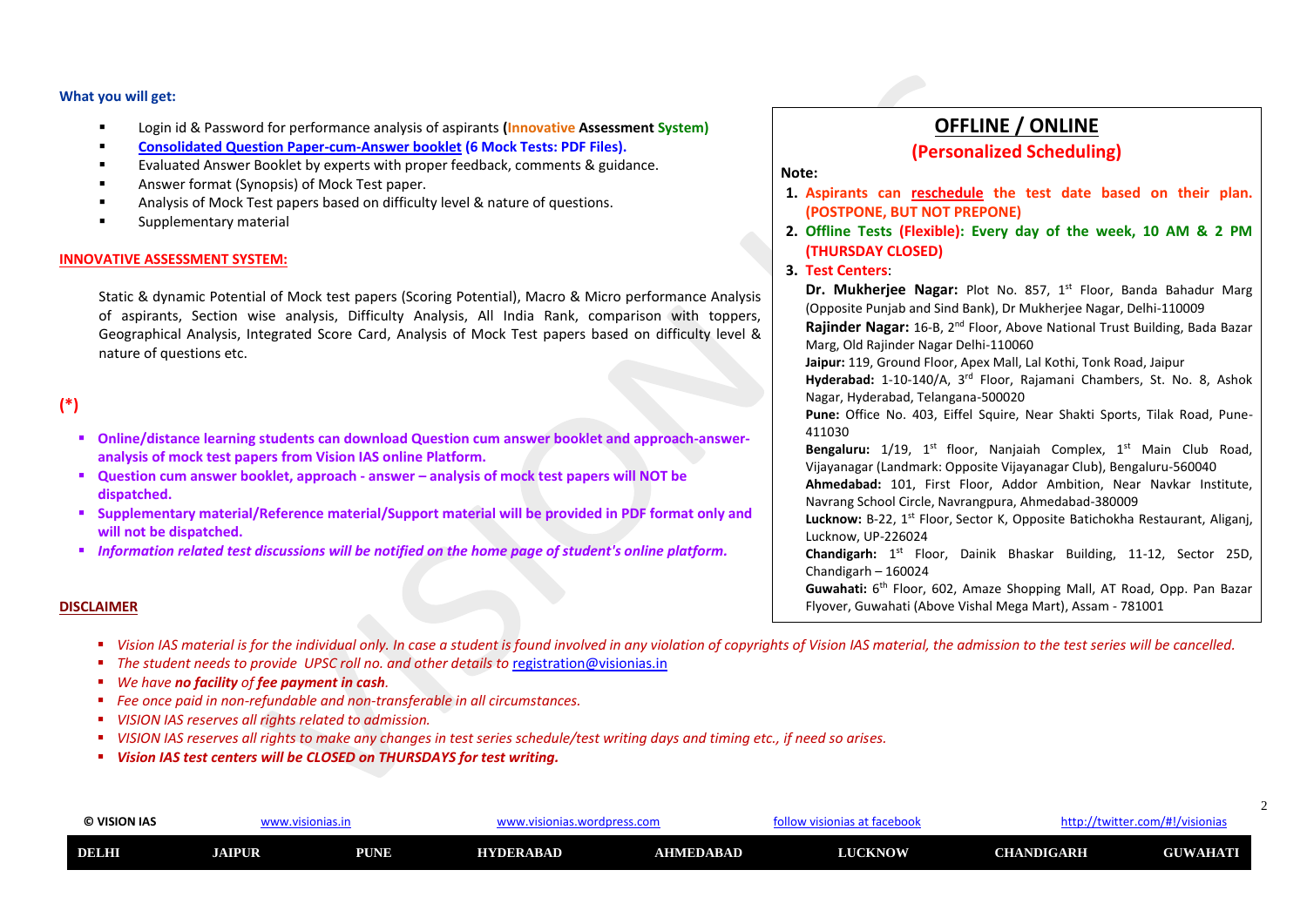| © VISION IAS | www.visionias.in |             | visionias.wordpress.com./ |                  | visionias at facebook! י<br>ollo |                   | http://twitter.com/#!/visionias |  |
|--------------|------------------|-------------|---------------------------|------------------|----------------------------------|-------------------|---------------------------------|--|
| <b>DELHI</b> | <b>AIPUR</b>     | <b>PUNE</b> | <b>HYDERABAD</b>          | <b>AHMEDABAD</b> | <b>LUCKNOW</b>                   | <b>CHANDIGARH</b> | <b>GUWAHATI</b>                 |  |

# **OFFLINE / ONLINE (Personalized Scheduling)**

#### **Note:**

**1. Aspirants can reschedule the test date based on their plan.** 

- **(POSTPONE, BUT NOT PREPONE)**
- **2. Offline Tests (Flexible): Every day of the week, 10 AM & 2 PM (THURSDAY CLOSED)**
- **3. Test Centers**:

**Dr. Mukherjee Nagar:** Plot No. 857, 1<sup>st</sup> Floor, Banda Bahadur Marg (Opposite Punjab and Sind Bank), Dr Mukherjee Nagar, Delhi-110009 **Rajinder Nagar:** 16-B, 2nd Floor, Above National Trust Building, Bada Bazar Marg, Old Rajinder Nagar Delhi-110060 **Jaipur:** 119, Ground Floor, Apex Mall, Lal Kothi, Tonk Road, Jaipur **Hyderabad:** 1-10-140/A, 3rd Floor, Rajamani Chambers, St. No. 8, Ashok Nagar, Hyderabad, Telangana-500020 **Pune:** Office No. 403, Eiffel Squire, Near Shakti Sports, Tilak Road, Pune-411030 Bengaluru: 1/19, 1<sup>st</sup> floor, Nanjaiah Complex, 1<sup>st</sup> Main Club Road, Vijayanagar (Landmark: Opposite Vijayanagar Club), Bengaluru-560040 **Ahmedabad:** 101, First Floor, Addor Ambition, Near Navkar Institute, Navrang School Circle, Navrangpura, Ahmedabad-380009 Lucknow: B-22, 1<sup>st</sup> Floor, Sector K, Opposite Batichokha Restaurant, Aliganj, Lucknow, UP-226024

Chandigarh: 1<sup>st</sup> Floor, Dainik Bhaskar Building, 11-12, Sector 25D, Chandigarh – 160024 Guwahati: 6<sup>th</sup> Floor, 602, Amaze Shopping Mall, AT Road, Opp. Pan Bazar Flyover, Guwahati (Above Vishal Mega Mart), Assam - 781001

- Login id & Password for performance analysis of aspirants **(Innovative Assessment System)**
- **Consolidated Question Paper-cum-Answer booklet (6 Mock Tests: PDF Files).**
- Evaluated Answer Booklet by experts with proper feedback, comments & guidance.
- Answer format (Synopsis) of Mock Test paper.
- Analysis of Mock Test papers based on difficulty level & nature of questions.
- Supplementary material

- Online/distance learning students can download Question cum answer booklet and approach-answer**analysis of mock test papers from Vision IAS online Platform.**
- **Question cum answer booklet, approach - answer – analysis of mock test papers will NOT be dispatched.**
- **Supplementary material/Reference material/Support material will be provided in PDF format only and will not be dispatched.**
- *Information related test discussions will be notified on the home page of student's online platform.*

### **What you will get:**

- Vision IAS material is for the individual only. In case a student is found involved in any violation of copyrights of Vision IAS material, the admission to the test series will be cancelled.
- *The student needs to provide UPSC roll no. and other details to [registration@visionias.in](mailto:registration@visionias.in)*
- *We have no facility of fee payment in cash.*
- *Fee once paid in non-refundable and non-transferable in all circumstances.*
- *VISION IAS reserves all rights related to admission.*
- *VISION IAS reserves all rights to make any changes in test series schedule/test writing days and timing etc., if need so arises.*
- *Vision IAS test centers will be CLOSED on THURSDAYS for test writing.*

### **INNOVATIVE ASSESSMENT SYSTEM:**

Static & dynamic Potential of Mock test papers (Scoring Potential), Macro & Micro performance Analysis of aspirants, Section wise analysis, Difficulty Analysis, All India Rank, comparison with toppers, Geographical Analysis, Integrated Score Card, Analysis of Mock Test papers based on difficulty level & nature of questions etc.

## **(\*)**

#### **DISCLAIMER**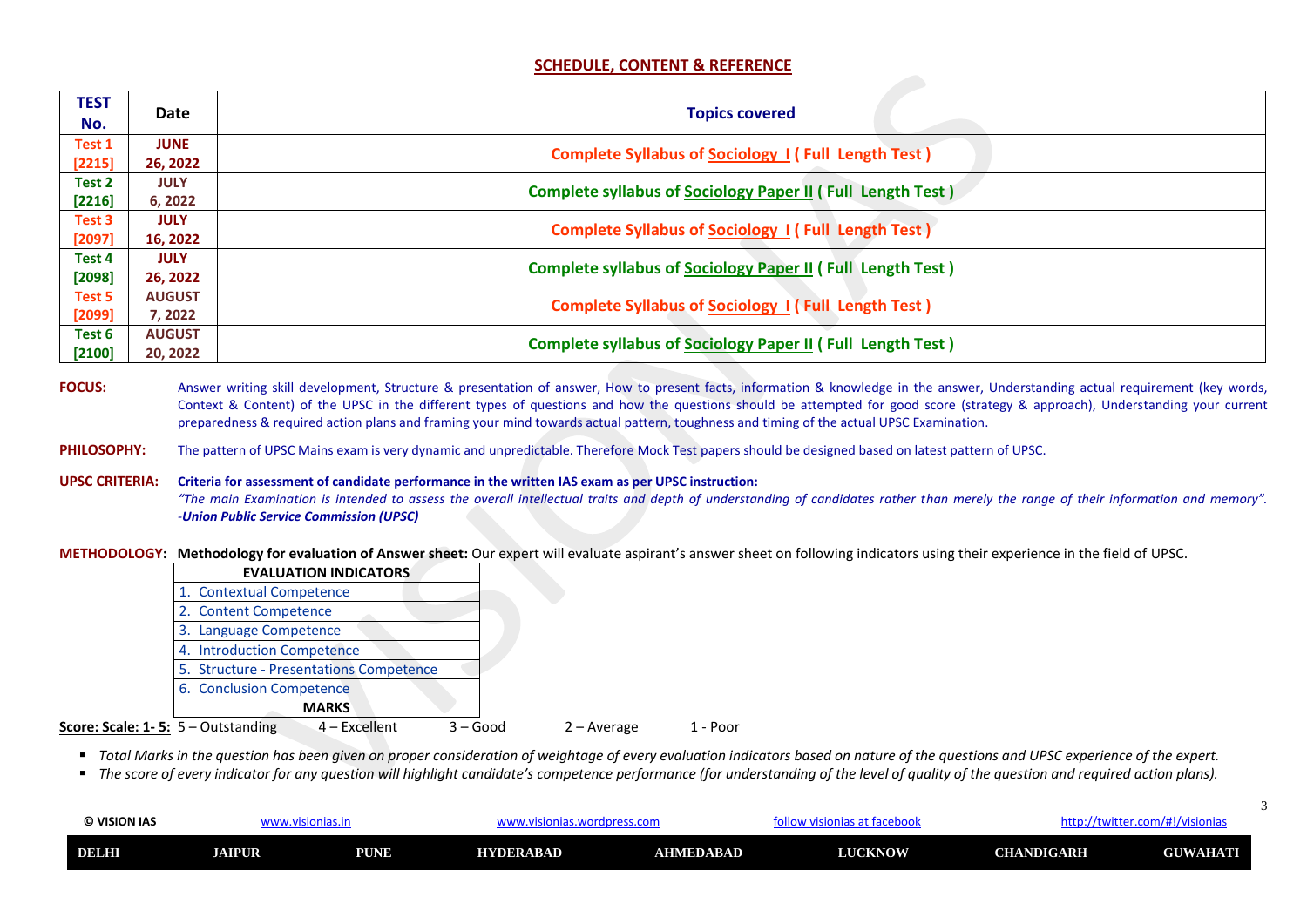3

| © VISION IAS | vw.visionias.in |             | visionias.wordpress.com.v |           | isionias at facebool<br><b>ACD://P</b> |                   | /twitter.com/#!/visionias |
|--------------|-----------------|-------------|---------------------------|-----------|----------------------------------------|-------------------|---------------------------|
| <b>DELHI</b> | <b>JAIPUR</b>   | <b>PUNE</b> | <b>HYDERABAD</b>          | AHMEDABAD | <b>LUCKNOW</b>                         | <b>CHANDIGARH</b> | <b>GUWAHATI</b><br>JU     |

### **SCHEDULE, CONTENT & REFERENCE**

| <b>TEST</b><br>No. | <b>Date</b>   | <b>Topics covered</b>                                             |
|--------------------|---------------|-------------------------------------------------------------------|
| Test 1             | <b>JUNE</b>   | <b>Complete Syllabus of Sociology 1 (Full Length Test)</b>        |
| [2215]             | 26, 2022      |                                                                   |
| Test 2             | <b>JULY</b>   |                                                                   |
| [2216]             | 6, 2022       | <b>Complete syllabus of Sociology Paper II (Full Length Test)</b> |
| Test 3             | <b>JULY</b>   |                                                                   |
| [2097]             | 16, 2022      | <b>Complete Syllabus of Sociology 1 (Full Length Test)</b>        |
| Test 4             | <b>JULY</b>   |                                                                   |
| [2098]             | 26, 2022      | <b>Complete syllabus of Sociology Paper II (Full Length Test)</b> |
| Test 5             | <b>AUGUST</b> |                                                                   |
| [2099]             | 7, 2022       | <b>Complete Syllabus of Sociology 1 (Full Length Test)</b>        |
| Test 6             | <b>AUGUST</b> |                                                                   |
| [2100]             | 20, 2022      | <b>Complete syllabus of Sociology Paper II (Full Length Test)</b> |

FOCUS: Answer writing skill development, Structure & presentation of answer, How to present facts, information & knowledge in the answer, Understanding actual requirement (key words, Context & Content) of the UPSC in the different types of questions and how the questions should be attempted for good score (strategy & approach), Understanding your current preparedness & required action plans and framing your mind towards actual pattern, toughness and timing of the actual UPSC Examination.

PHILOSOPHY: The pattern of UPSC Mains exam is very dynamic and unpredictable. Therefore Mock Test papers should be designed based on latest pattern of UPSC.

**UPSC CRITERIA: Criteria for assessment of candidate performance in the written IAS exam as per UPSC instruction:**  *"The main Examination is intended to assess the overall intellectual traits and depth of understanding of candidates rather than merely the range of their information and memory". -Union Public Service Commission (UPSC)*

**METHODOLOGY: Methodology for evaluation of Answer sheet:** Our expert will evaluate aspirant's answer sheet on following indicators using their experience in the field of UPSC.

|                                             | <b>EVALUATION INDICATORS</b>            |                             |          |
|---------------------------------------------|-----------------------------------------|-----------------------------|----------|
|                                             | 1. Contextual Competence                |                             |          |
|                                             | 2. Content Competence                   |                             |          |
|                                             | 3. Language Competence                  |                             |          |
|                                             | 4. Introduction Competence              |                             |          |
|                                             | 5. Structure - Presentations Competence |                             |          |
|                                             | 6. Conclusion Competence                |                             |          |
|                                             | <b>MARKS</b>                            |                             |          |
| <b>Score: Scale: 1-5:</b> $5 -$ Outstanding | $4$ – Excellent                         | $3 - Good$<br>$2 - Average$ | 1 - Poor |

■ Total Marks in the question has been given on proper consideration of weightage of every evaluation indicators based on nature of the questions and UPSC experience of the expert.

■ The score of every indicator for any question will highlight candidate's competence performance (for understanding of the level of quality of the question and required action plans).